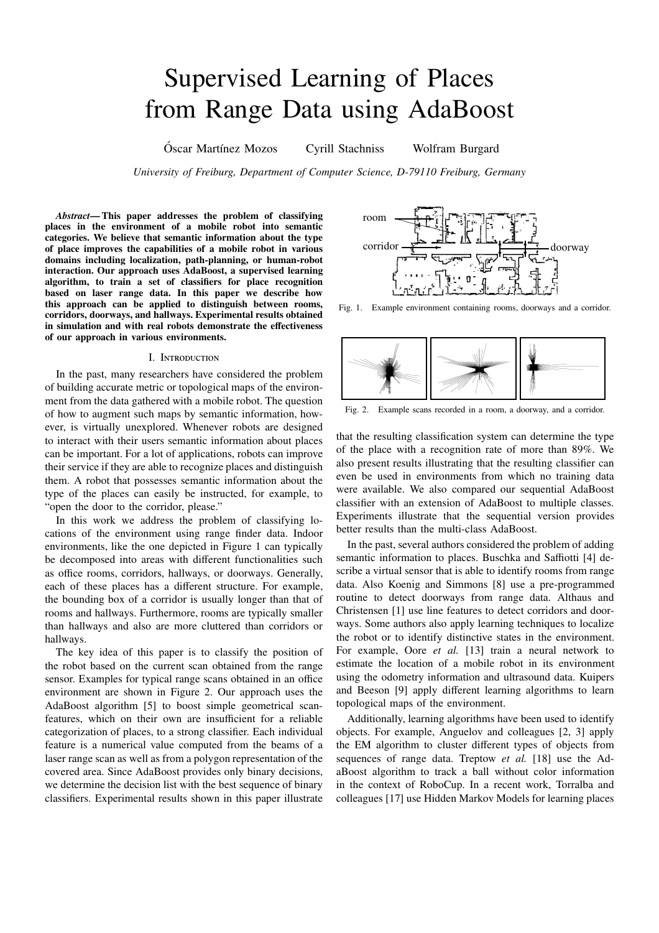# Supervised Learning of Places from Range Data using AdaBoost

Óscar Martínez Mozos Cyrill Stachniss Wolfram Burgard

*University of Freiburg, Department of Computer Science, D-79110 Freiburg, Germany*

*Abstract***— This paper addresses the problem of classifying places in the environment of a mobile robot into semantic categories. We believe that semantic information about the type of place improves the capabilities of a mobile robot in various domains including localization, path-planning, or human-robot interaction. Our approach uses AdaBoost, a supervised learning algorithm, to train a set of classifiers for place recognition based on laser range data. In this paper we describe how this approach can be applied to distinguish between rooms, corridors, doorways, and hallways. Experimental results obtained in simulation and with real robots demonstrate the e**ff**ectiveness of our approach in various environments.**

# I. INTRODUCTION

In the past, many researchers have considered the problem of building accurate metric or topological maps of the environment from the data gathered with a mobile robot. The question of how to augment such maps by semantic information, however, is virtually unexplored. Whenever robots are designed to interact with their users semantic information about places can be important. For a lot of applications, robots can improve their service if they are able to recognize places and distinguish them. A robot that possesses semantic information about the type of the places can easily be instructed, for example, to "open the door to the corridor, please."

In this work we address the problem of classifying locations of the environment using range finder data. Indoor environments, like the one depicted in Figure 1 can typically be decomposed into areas with different functionalities such as office rooms, corridors, hallways, or doorways. Generally, each of these places has a different structure. For example, the bounding box of a corridor is usually longer than that of rooms and hallways. Furthermore, rooms are typically smaller than hallways and also are more cluttered than corridors or hallways.

The key idea of this paper is to classify the position of the robot based on the current scan obtained from the range sensor. Examples for typical range scans obtained in an office environment are shown in Figure 2. Our approach uses the AdaBoost algorithm [5] to boost simple geometrical scanfeatures, which on their own are insufficient for a reliable categorization of places, to a strong classifier. Each individual feature is a numerical value computed from the beams of a laser range scan as well as from a polygon representation of the covered area. Since AdaBoost provides only binary decisions, we determine the decision list with the best sequence of binary classifiers. Experimental results shown in this paper illustrate



Fig. 1. Example environment containing rooms, doorways and a corridor.



Fig. 2. Example scans recorded in a room, a doorway, and a corridor.

that the resulting classification system can determine the type of the place with a recognition rate of more than 89%. We also present results illustrating that the resulting classifier can even be used in environments from which no training data were available. We also compared our sequential AdaBoost classifier with an extension of AdaBoost to multiple classes. Experiments illustrate that the sequential version provides better results than the multi-class AdaBoost.

In the past, several authors considered the problem of adding semantic information to places. Buschka and Saffiotti [4] describe a virtual sensor that is able to identify rooms from range data. Also Koenig and Simmons [8] use a pre-programmed routine to detect doorways from range data. Althaus and Christensen [1] use line features to detect corridors and doorways. Some authors also apply learning techniques to localize the robot or to identify distinctive states in the environment. For example, Oore *et al.* [13] train a neural network to estimate the location of a mobile robot in its environment using the odometry information and ultrasound data. Kuipers and Beeson [9] apply different learning algorithms to learn topological maps of the environment.

Additionally, learning algorithms have been used to identify objects. For example, Anguelov and colleagues [2, 3] apply the EM algorithm to cluster different types of objects from sequences of range data. Treptow *et al.* [18] use the AdaBoost algorithm to track a ball without color information in the context of RoboCup. In a recent work, Torralba and colleagues [17] use Hidden Markov Models for learning places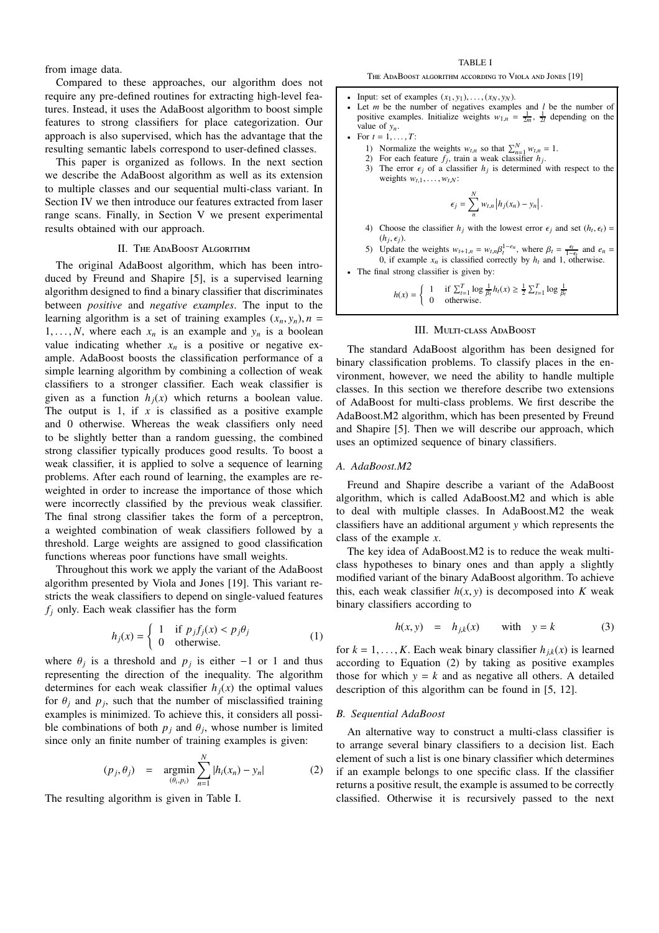from image data.

Compared to these approaches, our algorithm does not require any pre-defined routines for extracting high-level features. Instead, it uses the AdaBoost algorithm to boost simple features to strong classifiers for place categorization. Our approach is also supervised, which has the advantage that the resulting semantic labels correspond to user-defined classes.

This paper is organized as follows. In the next section we describe the AdaBoost algorithm as well as its extension to multiple classes and our sequential multi-class variant. In Section IV we then introduce our features extracted from laser range scans. Finally, in Section V we present experimental results obtained with our approach.

# II. THE ADABOOST ALGORITHM

The original AdaBoost algorithm, which has been introduced by Freund and Shapire [5], is a supervised learning algorithm designed to find a binary classifier that discriminates between *positive* and *negative examples*. The input to the learning algorithm is a set of training examples  $(x_n, y_n)$ ,  $n =$ 1, ..., *N*, where each  $x_n$  is an example and  $y_n$  is a boolean value indicating whether  $x_n$  is a positive or negative example. AdaBoost boosts the classification performance of a simple learning algorithm by combining a collection of weak classifiers to a stronger classifier. Each weak classifier is given as a function  $h_i(x)$  which returns a boolean value. The output is 1, if  $x$  is classified as a positive example and 0 otherwise. Whereas the weak classifiers only need to be slightly better than a random guessing, the combined strong classifier typically produces good results. To boost a weak classifier, it is applied to solve a sequence of learning problems. After each round of learning, the examples are reweighted in order to increase the importance of those which were incorrectly classified by the previous weak classifier. The final strong classifier takes the form of a perceptron, a weighted combination of weak classifiers followed by a threshold. Large weights are assigned to good classification functions whereas poor functions have small weights.

Throughout this work we apply the variant of the AdaBoost algorithm presented by Viola and Jones [19]. This variant restricts the weak classifiers to depend on single-valued features  $f_i$  only. Each weak classifier has the form

$$
h_j(x) = \begin{cases} 1 & \text{if } p_j f_j(x) < p_j \theta_j \\ 0 & \text{otherwise.} \end{cases} \tag{1}
$$

where  $\theta_j$  is a threshold and  $p_j$  is either −1 or 1 and thus representing the direction of the inequality. The algorithm determines for each weak classifier  $h_j(x)$  the optimal values for  $\theta_j$  and  $p_j$ , such that the number of misclassified training examples is minimized. To achieve this, it considers all possible combinations of both  $p_j$  and  $\theta_j$ , whose number is limited since only an finite number of training examples is given:

$$
(p_j, \theta_j) = \underset{(\theta_i, p_i)}{\text{argmin}} \sum_{n=1}^{N} |h_i(x_n) - y_n|
$$
 (2)

The resulting algorithm is given in Table I.

THE ADABOOST ALGORITHM ACCORDING TO VIOLA AND JONES [19]

- Input: set of examples  $(x_1, y_1), \ldots, (x_N, y_N)$ .
- Let  $m$  be the number of negatives examples and  $l$  be the number of positive examples. Initialize weights  $w_{1,n} = \frac{1}{2m}$ ,  $\frac{1}{2l}$  depending on the value of  $y_n$ .
- For  $t = 1, ..., T$ :
	- 1) Normalize the weights  $w_{t,n}$  so that  $\sum_{n=1}^{N} w_{t,n} = 1$ .
	- 2) For each feature  $f_j$ , train a weak classifier  $h_j$ .
	- 3) The error  $\epsilon_j$  of a classifier  $h_j$  is determined with respect to the weights  $w_{t,1}, \ldots, w_{t,N}$ :

$$
\epsilon_j = \sum_{n=1}^{N} w_{t,n} \left| h_j(x_n) - y_n \right|.
$$

- 4) Choose the classifier  $h_j$  with the lowest error  $\epsilon_j$  and set  $(h_t, \epsilon_t)$  =  $(h_j, \epsilon_j)$ .
- 5) Update the weights  $w_{t+1,n} = w_{t,n} \beta_1^{1-e_n}$ , where  $\beta_t = \frac{\epsilon_t}{1-\epsilon_t}$  and  $e_n = 0$ , if any value is also if at a smaller leads to an and  $t = \frac{1-\epsilon_t}{1-\epsilon_t}$ 0, if example  $x_n$  is classified correctly by  $h_t$  and 1, otherwise.

The final strong classifier is given by:

$$
h(x) = \begin{cases} 1 & \text{if } \sum_{t=1}^{T} \log \frac{1}{\beta_t} h_t(x) \ge \frac{1}{2} \sum_{t=1}^{T} \log \frac{1}{\beta_t} \\ 0 & \text{otherwise.} \end{cases}
$$

#### III. MULTI-CLASS ADABOOST

The standard AdaBoost algorithm has been designed for binary classification problems. To classify places in the environment, however, we need the ability to handle multiple classes. In this section we therefore describe two extensions of AdaBoost for multi-class problems. We first describe the AdaBoost.M2 algorithm, which has been presented by Freund and Shapire [5]. Then we will describe our approach, which uses an optimized sequence of binary classifiers.

# *A. AdaBoost.M2*

Freund and Shapire describe a variant of the AdaBoost algorithm, which is called AdaBoost.M2 and which is able to deal with multiple classes. In AdaBoost.M2 the weak classifiers have an additional argument *y* which represents the class of the example *x*.

The key idea of AdaBoost.M2 is to reduce the weak multiclass hypotheses to binary ones and than apply a slightly modified variant of the binary AdaBoost algorithm. To achieve this, each weak classifier  $h(x, y)$  is decomposed into *K* weak binary classifiers according to

$$
h(x, y) = h_{j,k}(x) \quad \text{with} \quad y = k \tag{3}
$$

for  $k = 1, \ldots, K$ . Each weak binary classifier  $h_{jk}(x)$  is learned according to Equation (2) by taking as positive examples those for which  $y = k$  and as negative all others. A detailed description of this algorithm can be found in [5, 12].

#### *B. Sequential AdaBoost*

An alternative way to construct a multi-class classifier is to arrange several binary classifiers to a decision list. Each element of such a list is one binary classifier which determines if an example belongs to one specific class. If the classifier returns a positive result, the example is assumed to be correctly classified. Otherwise it is recursively passed to the next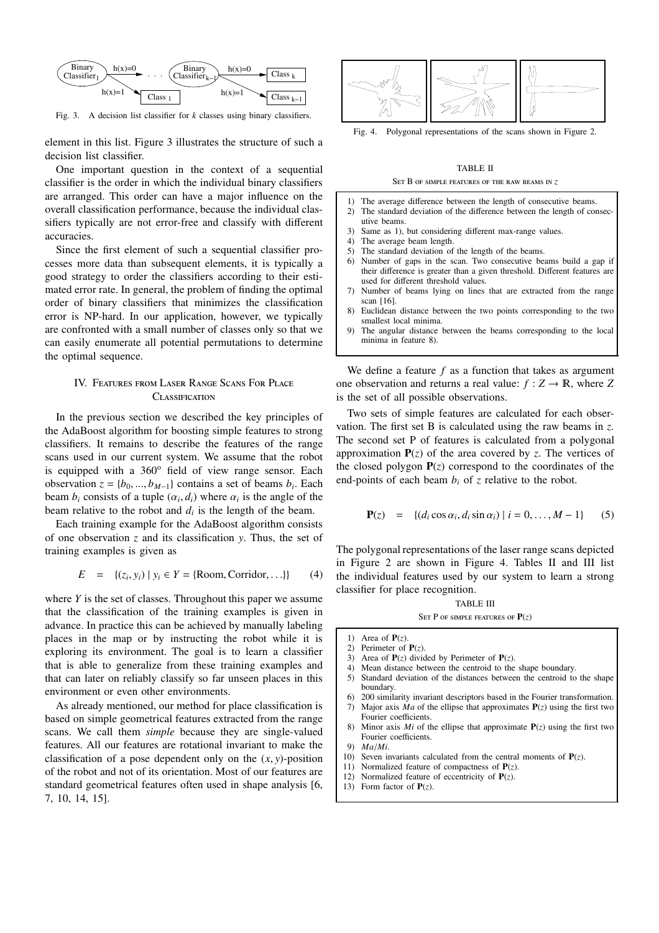

Fig. 3. A decision list classifier for *k* classes using binary classifiers.

element in this list. Figure 3 illustrates the structure of such a decision list classifier.

One important question in the context of a sequential classifier is the order in which the individual binary classifiers are arranged. This order can have a major influence on the overall classification performance, because the individual classifiers typically are not error-free and classify with different accuracies.

Since the first element of such a sequential classifier processes more data than subsequent elements, it is typically a good strategy to order the classifiers according to their estimated error rate. In general, the problem of finding the optimal order of binary classifiers that minimizes the classification error is NP-hard. In our application, however, we typically are confronted with a small number of classes only so that we can easily enumerate all potential permutations to determine the optimal sequence.

# IV. FEATURES FROM LASER RANGE SCANS FOR PLACE **CLASSIFICATION**

In the previous section we described the key principles of the AdaBoost algorithm for boosting simple features to strong classifiers. It remains to describe the features of the range scans used in our current system. We assume that the robot is equipped with a  $360^\circ$  field of view range sensor. Each observation  $z = \{b_0, ..., b_{M-1}\}\)$  contains a set of beams  $b_i$ . Each beam  $b_i$  consists of a tuple  $(\alpha_i, d_i)$  where  $\alpha_i$  is the angle of the beam relative to the robot and  $d_i$  is the length of the beam.

Each training example for the AdaBoost algorithm consists of one observation *z* and its classification *y*. Thus, the set of training examples is given as

$$
E = \{(z_i, y_i) \mid y_i \in Y = \{Room, Corridor, ...\}
$$
 (4)

where *Y* is the set of classes. Throughout this paper we assume that the classification of the training examples is given in advance. In practice this can be achieved by manually labeling places in the map or by instructing the robot while it is exploring its environment. The goal is to learn a classifier that is able to generalize from these training examples and that can later on reliably classify so far unseen places in this environment or even other environments.

As already mentioned, our method for place classification is based on simple geometrical features extracted from the range scans. We call them *simple* because they are single-valued features. All our features are rotational invariant to make the classification of a pose dependent only on the (*x*, *y*)-position of the robot and not of its orientation. Most of our features are standard geometrical features often used in shape analysis [6, 7, 10, 14, 15].



Fig. 4. Polygonal representations of the scans shown in Figure 2.

# TABLE II

#### SET B OF SIMPLE FEATURES OF THE RAW BEAMS IN **z**

- 1) The average difference between the length of consecutive beams.<br>2) The standard deviation of the difference between the length of con-
- The standard deviation of the difference between the length of consecutive beams.
- 3) Same as 1), but considering different max-range values.
- 4) The average beam length.
- 
- 5) The standard deviation of the length of the beams.<br>6) Number of gaps in the scan. Two consecutive beams. Number of gaps in the scan. Two consecutive beams build a gap if their difference is greater than a given threshold. Different features are used for different threshold values.
- 7) Number of beams lying on lines that are extracted from the range scan [16].
- 8) Euclidean distance between the two points corresponding to the two smallest local minima.
- 9) The angular distance between the beams corresponding to the local minima in feature 8).

We define a feature *f* as a function that takes as argument one observation and returns a real value:  $f : Z \to \mathbb{R}$ , where *Z* is the set of all possible observations.

Two sets of simple features are calculated for each observation. The first set B is calculated using the raw beams in *z*. The second set P of features is calculated from a polygonal approximation  $P(z)$  of the area covered by *z*. The vertices of the closed polygon  $P(z)$  correspond to the coordinates of the end-points of each beam  $b_i$  of  $\zeta$  relative to the robot.

$$
\mathbf{P}(z) = \{ (d_i \cos \alpha_i, d_i \sin \alpha_i) \mid i = 0, ..., M - 1 \} \tag{5}
$$

The polygonal representations of the laser range scans depicted in Figure 2 are shown in Figure 4. Tables II and III list the individual features used by our system to learn a strong classifier for place recognition.

#### TABLE III  $S_{ET} P$  of stape  $F$  *peatures* of  $P(z)$

- 1) Area of  $P(z)$ .
- 2) Perimeter of  $P(z)$ .<br>3) Area of  $P(z)$  divide
- Area of  $P(z)$  divided by Perimeter of  $P(z)$ .
- 4) Mean distance between the centroid to the shape boundary.
- 5) Standard deviation of the distances between the centroid to the shape boundary.
- 6) 200 similarity invariant descriptors based in the Fourier transformation. 7) Major axis *Ma* of the ellipse that approximates **P**(*z*) using the first two
- Fourier coefficients. Minor axis *Mi* of the ellipse that approximate  $P(z)$  using the first two Fourier coefficients.
- 9) *Ma*/*Mi*.
- 10) Seven invariants calculated from the central moments of  $P(z)$ .
- 11) Normalized feature of compactness of **P**(*z*).
- 12) Normalized feature of eccentricity of **P**(*z*).
- 13) Form factor of  $P(z)$ .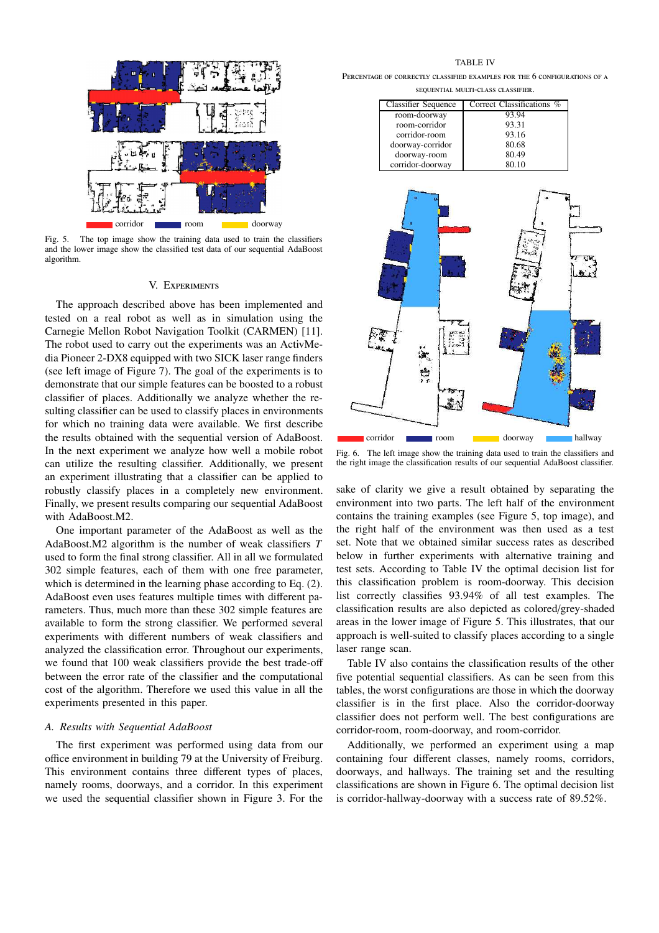

Fig. 5. The top image show the training data used to train the classifiers and the lower image show the classified test data of our sequential AdaBoost algorithm.

#### **V. EXPERIMENTS**

The approach described above has been implemented and tested on a real robot as well as in simulation using the Carnegie Mellon Robot Navigation Toolkit (CARMEN) [11]. The robot used to carry out the experiments was an ActivMedia Pioneer 2-DX8 equipped with two SICK laser range finders (see left image of Figure 7). The goal of the experiments is to demonstrate that our simple features can be boosted to a robust classifier of places. Additionally we analyze whether the resulting classifier can be used to classify places in environments for which no training data were available. We first describe the results obtained with the sequential version of AdaBoost. In the next experiment we analyze how well a mobile robot can utilize the resulting classifier. Additionally, we present an experiment illustrating that a classifier can be applied to robustly classify places in a completely new environment. Finally, we present results comparing our sequential AdaBoost with AdaBoost.M2.

One important parameter of the AdaBoost as well as the AdaBoost.M2 algorithm is the number of weak classifiers *T* used to form the final strong classifier. All in all we formulated 302 simple features, each of them with one free parameter, which is determined in the learning phase according to Eq. (2). AdaBoost even uses features multiple times with different parameters. Thus, much more than these 302 simple features are available to form the strong classifier. We performed several experiments with different numbers of weak classifiers and analyzed the classification error. Throughout our experiments, we found that 100 weak classifiers provide the best trade-off between the error rate of the classifier and the computational cost of the algorithm. Therefore we used this value in all the experiments presented in this paper.

#### *A. Results with Sequential AdaBoost*

The first experiment was performed using data from our office environment in building 79 at the University of Freiburg. This environment contains three different types of places, namely rooms, doorways, and a corridor. In this experiment we used the sequential classifier shown in Figure 3. For the

TABLE IV

PERCENTAGE OF CORRECTLY CLASSIFIED EXAMPLES FOR THE 6 CONFIGURATIONS OF A SEQUENTIAL MULTI-CLASS CLASSIFIER.

| <b>Classifier Sequence</b> | Correct Classifications % |
|----------------------------|---------------------------|
| room-doorway               | 93.94                     |
| room-corridor              | 93.31                     |
| corridor-room              | 93.16                     |
| doorway-corridor           | 80.68                     |
| doorway-room               | 80.49                     |
| corridor-doorway           | 80.10                     |



Fig. 6. The left image show the training data used to train the classifiers and the right image the classification results of our sequential AdaBoost classifier.

sake of clarity we give a result obtained by separating the environment into two parts. The left half of the environment contains the training examples (see Figure 5, top image), and the right half of the environment was then used as a test set. Note that we obtained similar success rates as described below in further experiments with alternative training and test sets. According to Table IV the optimal decision list for this classification problem is room-doorway. This decision list correctly classifies 93.94% of all test examples. The classification results are also depicted as colored/grey-shaded areas in the lower image of Figure 5. This illustrates, that our approach is well-suited to classify places according to a single laser range scan.

Table IV also contains the classification results of the other five potential sequential classifiers. As can be seen from this tables, the worst configurations are those in which the doorway classifier is in the first place. Also the corridor-doorway classifier does not perform well. The best configurations are corridor-room, room-doorway, and room-corridor.

Additionally, we performed an experiment using a map containing four different classes, namely rooms, corridors, doorways, and hallways. The training set and the resulting classifications are shown in Figure 6. The optimal decision list is corridor-hallway-doorway with a success rate of 89.52%.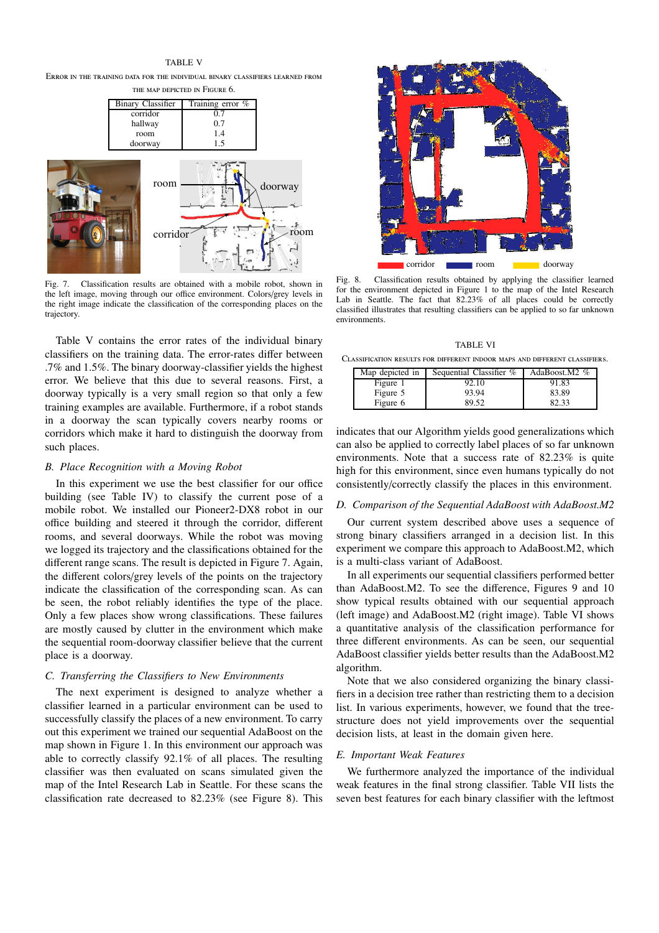# TABLE V

ERROR IN THE TRAINING DATA FOR THE INDIVIDUAL BINARY CLASSIFIERS LEARNED FROM

| THE MAP DEPICTED IN FIGURE 6. |                  |  |
|-------------------------------|------------------|--|
| Binary Classifier             | Training error % |  |
| corridor                      | 07               |  |
| hallway                       | 0.7              |  |
| room                          | 14               |  |
| doorway                       | 15               |  |



Fig. 7. Classification results are obtained with a mobile robot, shown in the left image, moving through our office environment. Colors/grey levels in the right image indicate the classification of the corresponding places on the trajectory.

Table V contains the error rates of the individual binary classifiers on the training data. The error-rates differ between .7% and 1.5%. The binary doorway-classifier yields the highest error. We believe that this due to several reasons. First, a doorway typically is a very small region so that only a few training examples are available. Furthermore, if a robot stands in a doorway the scan typically covers nearby rooms or corridors which make it hard to distinguish the doorway from such places.

### *B. Place Recognition with a Moving Robot*

In this experiment we use the best classifier for our office building (see Table IV) to classify the current pose of a mobile robot. We installed our Pioneer2-DX8 robot in our office building and steered it through the corridor, different rooms, and several doorways. While the robot was moving we logged its trajectory and the classifications obtained for the different range scans. The result is depicted in Figure 7. Again, the different colors/grey levels of the points on the trajectory indicate the classification of the corresponding scan. As can be seen, the robot reliably identifies the type of the place. Only a few places show wrong classifications. These failures are mostly caused by clutter in the environment which make the sequential room-doorway classifier believe that the current place is a doorway.

#### *C. Transferring the Classifiers to New Environments*

The next experiment is designed to analyze whether a classifier learned in a particular environment can be used to successfully classify the places of a new environment. To carry out this experiment we trained our sequential AdaBoost on the map shown in Figure 1. In this environment our approach was able to correctly classify 92.1% of all places. The resulting classifier was then evaluated on scans simulated given the map of the Intel Research Lab in Seattle. For these scans the classification rate decreased to 82.23% (see Figure 8). This



Fig. 8. Classification results obtained by applying the classifier learned for the environment depicted in Figure 1 to the map of the Intel Research Lab in Seattle. The fact that 82.23% of all places could be correctly classified illustrates that resulting classifiers can be applied to so far unknown environments.

TABLE VI CLASSIFICATION RESULTS FOR DIFFERENT INDOOR MAPS AND DIFFERENT CLASSIFIERS.

| Map depicted in | Sequential Classifier % | AdaBoost.M2 % |
|-----------------|-------------------------|---------------|
| Figure 1        | 92.10                   | 91.83         |
| Figure 5        | 93.94                   | 83.89         |
| Figure 6        | 89.52                   | 82.33         |

indicates that our Algorithm yields good generalizations which can also be applied to correctly label places of so far unknown environments. Note that a success rate of 82.23% is quite high for this environment, since even humans typically do not consistently/correctly classify the places in this environment.

### *D. Comparison of the Sequential AdaBoost with AdaBoost.M2*

Our current system described above uses a sequence of strong binary classifiers arranged in a decision list. In this experiment we compare this approach to AdaBoost.M2, which is a multi-class variant of AdaBoost.

In all experiments our sequential classifiers performed better than AdaBoost.M2. To see the difference, Figures 9 and 10 show typical results obtained with our sequential approach (left image) and AdaBoost.M2 (right image). Table VI shows a quantitative analysis of the classification performance for three different environments. As can be seen, our sequential AdaBoost classifier yields better results than the AdaBoost.M2 algorithm.

Note that we also considered organizing the binary classifiers in a decision tree rather than restricting them to a decision list. In various experiments, however, we found that the treestructure does not yield improvements over the sequential decision lists, at least in the domain given here.

#### *E. Important Weak Features*

We furthermore analyzed the importance of the individual weak features in the final strong classifier. Table VII lists the seven best features for each binary classifier with the leftmost